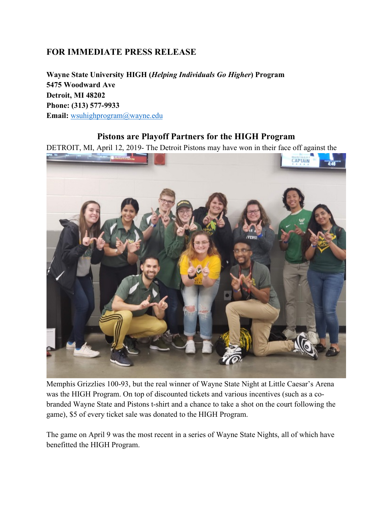## **FOR IMMEDIATE PRESS RELEASE**

**Wayne State University HIGH (***Helping Individuals Go Higher***) Program 5475 Woodward Ave Detroit, MI 48202 Phone: (313) 577-9933 Email:** wsuhighprogram@wayne.edu

## **Pistons are Playoff Partners for the HIGH Program**

DETROIT, MI, April 12, 2019- The Detroit Pistons may have won in their face off against the



Memphis Grizzlies 100-93, but the real winner of Wayne State Night at Little Caesar's Arena was the HIGH Program. On top of discounted tickets and various incentives (such as a cobranded Wayne State and Pistons t-shirt and a chance to take a shot on the court following the game), \$5 of every ticket sale was donated to the HIGH Program.

The game on April 9 was the most recent in a series of Wayne State Nights, all of which have benefitted the HIGH Program.